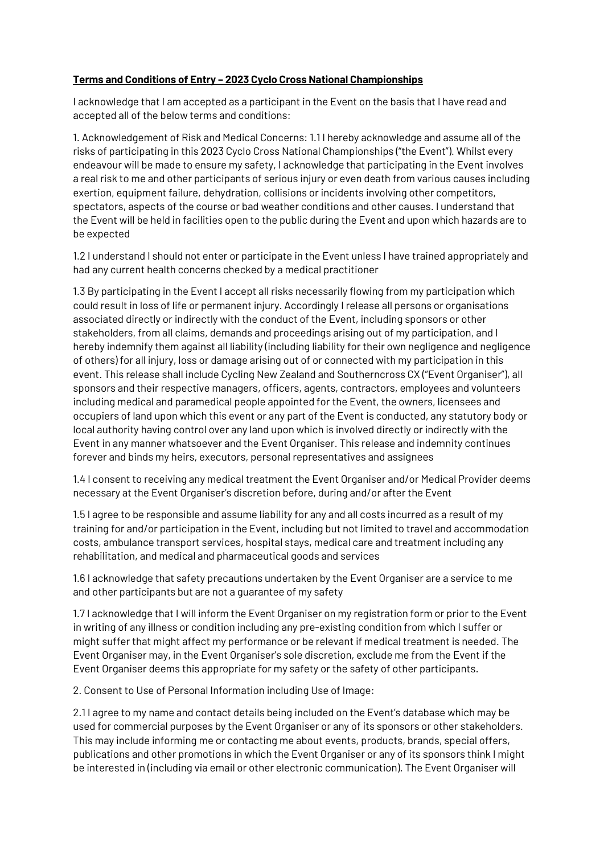## **Terms and Conditions of Entry – 2023 Cyclo Cross National Championships**

I acknowledge that I am accepted as a participant in the Event on the basis that I have read and accepted all of the below terms and conditions:

1. Acknowledgement of Risk and Medical Concerns: 1.1 I hereby acknowledge and assume all of the risks of participating in this 2023 Cyclo Cross National Championships ("the Event"). Whilst every endeavour will be made to ensure my safety, I acknowledge that participating in the Event involves a real risk to me and other participants of serious injury or even death from various causes including exertion, equipment failure, dehydration, collisions or incidents involving other competitors, spectators, aspects of the course or bad weather conditions and other causes. I understand that the Event will be held in facilities open to the public during the Event and upon which hazards are to be expected

1.2 I understand I should not enter or participate in the Event unless I have trained appropriately and had any current health concerns checked by a medical practitioner

1.3 By participating in the Event I accept all risks necessarily flowing from my participation which could result in loss of life or permanent injury. Accordingly I release all persons or organisations associated directly or indirectly with the conduct of the Event, including sponsors or other stakeholders, from all claims, demands and proceedings arising out of my participation, and I hereby indemnify them against all liability (including liability for their own negligence and negligence of others) for all injury, loss or damage arising out of or connected with my participation in this event. This release shall include Cycling New Zealand and Southerncross CX ("Event Organiser"), all sponsors and their respective managers, officers, agents, contractors, employees and volunteers including medical and paramedical people appointed for the Event, the owners, licensees and occupiers of land upon which this event or any part of the Event is conducted, any statutory body or local authority having control over any land upon which is involved directly or indirectly with the Event in any manner whatsoever and the Event Organiser. This release and indemnity continues forever and binds my heirs, executors, personal representatives and assignees

1.4 I consent to receiving any medical treatment the Event Organiser and/or Medical Provider deems necessary at the Event Organiser's discretion before, during and/or after the Event

1.5 I agree to be responsible and assume liability for any and all costs incurred as a result of my training for and/or participation in the Event, including but not limited to travel and accommodation costs, ambulance transport services, hospital stays, medical care and treatment including any rehabilitation, and medical and pharmaceutical goods and services

1.6 I acknowledge that safety precautions undertaken by the Event Organiser are a service to me and other participants but are not a guarantee of my safety

1.7 I acknowledge that I will inform the Event Organiser on my registration form or prior to the Event in writing of any illness or condition including any pre-existing condition from which I suffer or might suffer that might affect my performance or be relevant if medical treatment is needed. The Event Organiser may, in the Event Organiser's sole discretion, exclude me from the Event if the Event Organiser deems this appropriate for my safety or the safety of other participants.

2. Consent to Use of Personal Information including Use of Image:

2.1 I agree to my name and contact details being included on the Event's database which may be used for commercial purposes by the Event Organiser or any of its sponsors or other stakeholders. This may include informing me or contacting me about events, products, brands, special offers, publications and other promotions in which the Event Organiser or any of its sponsors think I might be interested in (including via email or other electronic communication). The Event Organiser will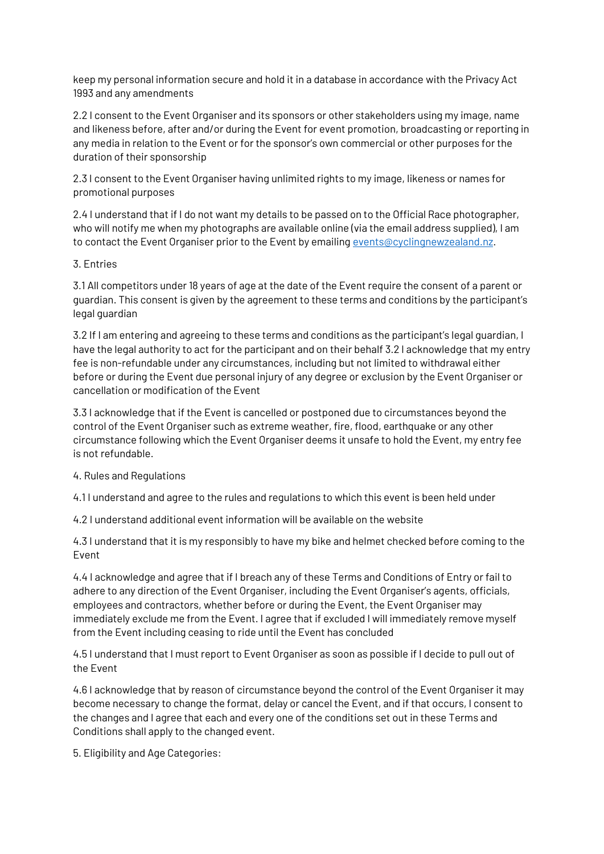keep my personal information secure and hold it in a database in accordance with the Privacy Act 1993 and any amendments

2.2 I consent to the Event Organiser and its sponsors or other stakeholders using my image, name and likeness before, after and/or during the Event for event promotion, broadcasting or reporting in any media in relation to the Event or for the sponsor's own commercial or other purposes for the duration of their sponsorship

2.3 I consent to the Event Organiser having unlimited rights to my image, likeness or names for promotional purposes

2.4 I understand that if I do not want my details to be passed on to the Official Race photographer, who will notify me when my photographs are available online (via the email address supplied), I am to contact the Event Organiser prior to the Event by emailin[g events@cyclingnewzealand.nz.](mailto:events@cyclingnewzealand.nz)

## 3. Entries

3.1 All competitors under 18 years of age at the date of the Event require the consent of a parent or guardian. This consent is given by the agreement to these terms and conditions by the participant's legal guardian

3.2 If I am entering and agreeing to these terms and conditions as the participant's legal guardian, I have the legal authority to act for the participant and on their behalf 3.2 I acknowledge that my entry fee is non-refundable under any circumstances, including but not limited to withdrawal either before or during the Event due personal injury of any degree or exclusion by the Event Organiser or cancellation or modification of the Event

3.3 I acknowledge that if the Event is cancelled or postponed due to circumstances beyond the control of the Event Organiser such as extreme weather, fire, flood, earthquake or any other circumstance following which the Event Organiser deems it unsafe to hold the Event, my entry fee is not refundable.

## 4. Rules and Regulations

4.1 I understand and agree to the rules and regulations to which this event is been held under

4.2 I understand additional event information will be available on the website

4.3 I understand that it is my responsibly to have my bike and helmet checked before coming to the Event

4.4 I acknowledge and agree that if I breach any of these Terms and Conditions of Entry or fail to adhere to any direction of the Event Organiser, including the Event Organiser's agents, officials, employees and contractors, whether before or during the Event, the Event Organiser may immediately exclude me from the Event. I agree that if excluded I will immediately remove myself from the Event including ceasing to ride until the Event has concluded

4.5 I understand that I must report to Event Organiser as soon as possible if I decide to pull out of the Event

4.6 I acknowledge that by reason of circumstance beyond the control of the Event Organiser it may become necessary to change the format, delay or cancel the Event, and if that occurs, I consent to the changes and I agree that each and every one of the conditions set out in these Terms and Conditions shall apply to the changed event.

5. Eligibility and Age Categories: